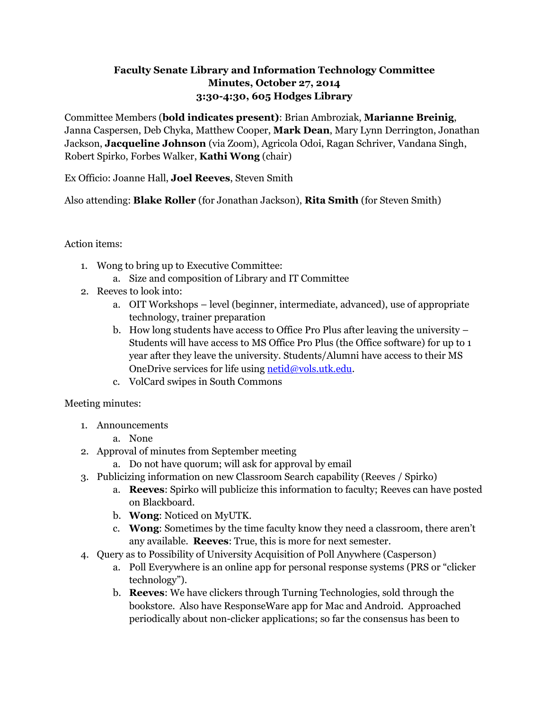## **Faculty Senate Library and Information Technology Committee Minutes, October 27, 2014 3:30-4:30, 605 Hodges Library**

Committee Members (**bold indicates present)**: Brian Ambroziak, **Marianne Breinig**, Janna Caspersen, Deb Chyka, Matthew Cooper, **Mark Dean**, Mary Lynn Derrington, Jonathan Jackson, **Jacqueline Johnson** (via Zoom), Agricola Odoi, Ragan Schriver, Vandana Singh, Robert Spirko, Forbes Walker, **Kathi Wong** (chair)

Ex Officio: Joanne Hall, **Joel Reeves**, Steven Smith

Also attending: **Blake Roller** (for Jonathan Jackson), **Rita Smith** (for Steven Smith)

## Action items:

- 1. Wong to bring up to Executive Committee: a. Size and composition of Library and IT Committee
- 2. Reeves to look into:
	- a. OIT Workshops level (beginner, intermediate, advanced), use of appropriate technology, trainer preparation
	- b. How long students have access to Office Pro Plus after leaving the university Students will have access to MS Office Pro Plus (the Office software) for up to 1 year after they leave the university. Students/Alumni have access to their MS OneDrive services for life using [netid@vols.utk.edu.](mailto:netid@vols.utk.edu)
	- c. VolCard swipes in South Commons

Meeting minutes:

- 1. Announcements
	- a. None
- 2. Approval of minutes from September meeting
	- a. Do not have quorum; will ask for approval by email
- 3. Publicizing information on new Classroom Search capability (Reeves / Spirko)
	- a. **Reeves**: Spirko will publicize this information to faculty; Reeves can have posted on Blackboard.
	- b. **Wong**: Noticed on MyUTK.
	- c. **Wong**: Sometimes by the time faculty know they need a classroom, there aren't any available. **Reeves**: True, this is more for next semester.
- 4. Query as to Possibility of University Acquisition of Poll Anywhere (Casperson)
	- a. Poll Everywhere is an online app for personal response systems (PRS or "clicker technology").
	- b. **Reeves**: We have clickers through Turning Technologies, sold through the bookstore. Also have ResponseWare app for Mac and Android. Approached periodically about non-clicker applications; so far the consensus has been to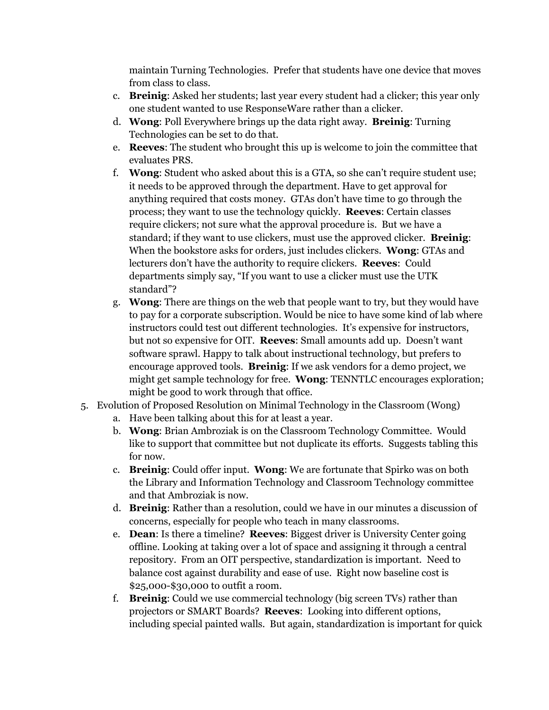maintain Turning Technologies. Prefer that students have one device that moves from class to class.

- c. **Breinig**: Asked her students; last year every student had a clicker; this year only one student wanted to use ResponseWare rather than a clicker.
- d. **Wong**: Poll Everywhere brings up the data right away. **Breinig**: Turning Technologies can be set to do that.
- e. **Reeves**: The student who brought this up is welcome to join the committee that evaluates PRS.
- f. **Wong**: Student who asked about this is a GTA, so she can't require student use; it needs to be approved through the department. Have to get approval for anything required that costs money. GTAs don't have time to go through the process; they want to use the technology quickly. **Reeves**: Certain classes require clickers; not sure what the approval procedure is. But we have a standard; if they want to use clickers, must use the approved clicker. **Breinig**: When the bookstore asks for orders, just includes clickers. **Wong**: GTAs and lecturers don't have the authority to require clickers. **Reeves**: Could departments simply say, "If you want to use a clicker must use the UTK standard"?
- g. **Wong**: There are things on the web that people want to try, but they would have to pay for a corporate subscription. Would be nice to have some kind of lab where instructors could test out different technologies. It's expensive for instructors, but not so expensive for OIT. **Reeves**: Small amounts add up. Doesn't want software sprawl. Happy to talk about instructional technology, but prefers to encourage approved tools. **Breinig**: If we ask vendors for a demo project, we might get sample technology for free. **Wong**: TENNTLC encourages exploration; might be good to work through that office.
- 5. Evolution of Proposed Resolution on Minimal Technology in the Classroom (Wong)
	- a. Have been talking about this for at least a year.
	- b. **Wong**: Brian Ambroziak is on the Classroom Technology Committee. Would like to support that committee but not duplicate its efforts. Suggests tabling this for now.
	- c. **Breinig**: Could offer input. **Wong**: We are fortunate that Spirko was on both the Library and Information Technology and Classroom Technology committee and that Ambroziak is now.
	- d. **Breinig**: Rather than a resolution, could we have in our minutes a discussion of concerns, especially for people who teach in many classrooms.
	- e. **Dean**: Is there a timeline? **Reeves**: Biggest driver is University Center going offline. Looking at taking over a lot of space and assigning it through a central repository. From an OIT perspective, standardization is important. Need to balance cost against durability and ease of use. Right now baseline cost is \$25,000-\$30,000 to outfit a room.
	- f. **Breinig**: Could we use commercial technology (big screen TVs) rather than projectors or SMART Boards? **Reeves**: Looking into different options, including special painted walls. But again, standardization is important for quick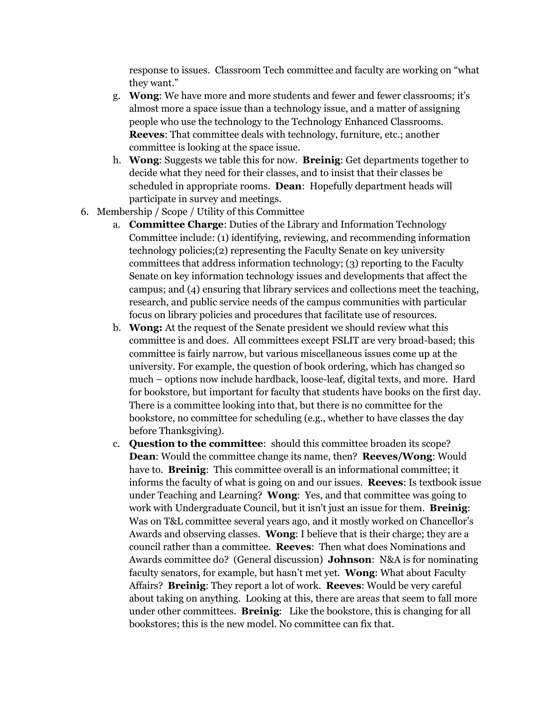response to issues. Classroom Tech committee and faculty are working on "what they want."

- g. **Wong**: We have more and more students and fewer and fewer classrooms; it's almost more a space issue than a technology issue, and a matter of assigning people who use the technology to the Technology Enhanced Classrooms. **Reeves**: That committee deals with technology, furniture, etc.; another committee is looking at the space issue.
- h. **Wong**: Suggests we table this for now. **Breinig**: Get departments together to decide what they need for their classes, and to insist that their classes be scheduled in appropriate rooms. **Dean**: Hopefully department heads will participate in survey and meetings.
- 6. Membership / Scope / Utility of this Committee
	- a. **Committee Charge**: Duties of the Library and Information Technology Committee include: (1) identifying, reviewing, and recommending information technology policies;(2) representing the Faculty Senate on key university committees that address information technology; (3) reporting to the Faculty Senate on key information technology issues and developments that affect the campus; and (4) ensuring that library services and collections meet the teaching, research, and public service needs of the campus communities with particular focus on library policies and procedures that facilitate use of resources.
	- b. **Wong:** At the request of the Senate president we should review what this committee is and does. All committees except FSLIT are very broad-based; this committee is fairly narrow, but various miscellaneous issues come up at the university. For example, the question of book ordering, which has changed so much – options now include hardback, loose-leaf, digital texts, and more. Hard for bookstore, but important for faculty that students have books on the first day. There is a committee looking into that, but there is no committee for the bookstore, no committee for scheduling (e.g., whether to have classes the day before Thanksgiving).
	- c. **Question to the committee**: should this committee broaden its scope? **Dean**: Would the committee change its name, then? **Reeves/Wong**: Would have to. **Breinig**: This committee overall is an informational committee; it informs the faculty of what is going on and our issues. **Reeves**: Is textbook issue under Teaching and Learning? **Wong**: Yes, and that committee was going to work with Undergraduate Council, but it isn't just an issue for them. **Breinig**: Was on T&L committee several years ago, and it mostly worked on Chancellor's Awards and observing classes. **Wong**: I believe that is their charge; they are a council rather than a committee. **Reeves**: Then what does Nominations and Awards committee do? (General discussion) **Johnson**: N&A is for nominating faculty senators, for example, but hasn't met yet. **Wong**: What about Faculty Affairs? **Breinig**: They report a lot of work. **Reeves**: Would be very careful about taking on anything. Looking at this, there are areas that seem to fall more under other committees. **Breinig**: Like the bookstore, this is changing for all bookstores; this is the new model. No committee can fix that.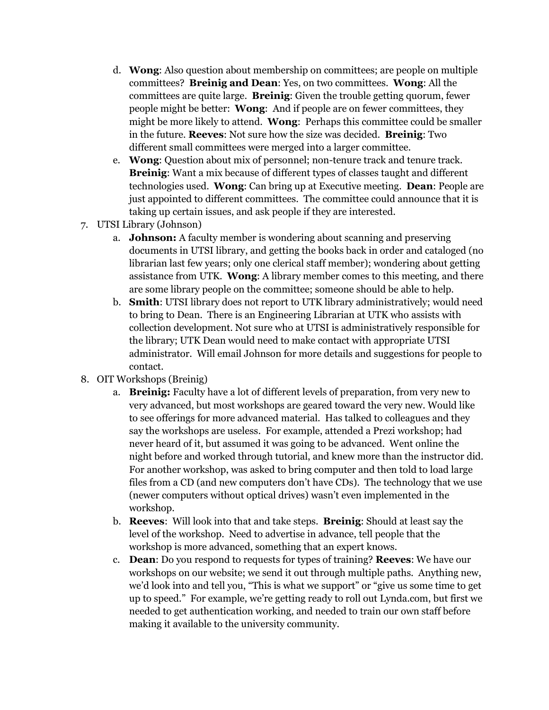- d. **Wong**: Also question about membership on committees; are people on multiple committees? **Breinig and Dean**: Yes, on two committees. **Wong**: All the committees are quite large. **Breinig**: Given the trouble getting quorum, fewer people might be better: **Wong**: And if people are on fewer committees, they might be more likely to attend. **Wong**: Perhaps this committee could be smaller in the future. **Reeves**: Not sure how the size was decided. **Breinig**: Two different small committees were merged into a larger committee.
- e. **Wong**: Question about mix of personnel; non-tenure track and tenure track. **Breinig**: Want a mix because of different types of classes taught and different technologies used. **Wong**: Can bring up at Executive meeting. **Dean**: People are just appointed to different committees. The committee could announce that it is taking up certain issues, and ask people if they are interested.
- 7. UTSI Library (Johnson)
	- a. **Johnson:** A faculty member is wondering about scanning and preserving documents in UTSI library, and getting the books back in order and cataloged (no librarian last few years; only one clerical staff member); wondering about getting assistance from UTK. **Wong**: A library member comes to this meeting, and there are some library people on the committee; someone should be able to help.
	- b. **Smith**: UTSI library does not report to UTK library administratively; would need to bring to Dean. There is an Engineering Librarian at UTK who assists with collection development. Not sure who at UTSI is administratively responsible for the library; UTK Dean would need to make contact with appropriate UTSI administrator. Will email Johnson for more details and suggestions for people to contact.
- 8. OIT Workshops (Breinig)
	- a. **Breinig:** Faculty have a lot of different levels of preparation, from very new to very advanced, but most workshops are geared toward the very new. Would like to see offerings for more advanced material. Has talked to colleagues and they say the workshops are useless. For example, attended a Prezi workshop; had never heard of it, but assumed it was going to be advanced. Went online the night before and worked through tutorial, and knew more than the instructor did. For another workshop, was asked to bring computer and then told to load large files from a CD (and new computers don't have CDs). The technology that we use (newer computers without optical drives) wasn't even implemented in the workshop.
	- b. **Reeves**: Will look into that and take steps. **Breinig**: Should at least say the level of the workshop. Need to advertise in advance, tell people that the workshop is more advanced, something that an expert knows.
	- c. **Dean**: Do you respond to requests for types of training? **Reeves**: We have our workshops on our website; we send it out through multiple paths. Anything new, we'd look into and tell you, "This is what we support" or "give us some time to get up to speed." For example, we're getting ready to roll out Lynda.com, but first we needed to get authentication working, and needed to train our own staff before making it available to the university community.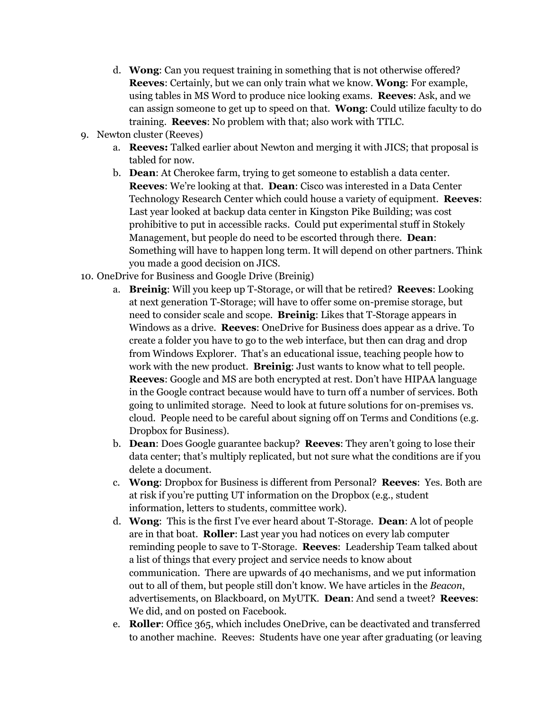- d. **Wong**: Can you request training in something that is not otherwise offered? **Reeves**: Certainly, but we can only train what we know. **Wong**: For example, using tables in MS Word to produce nice looking exams. **Reeves**: Ask, and we can assign someone to get up to speed on that. **Wong**: Could utilize faculty to do training. **Reeves**: No problem with that; also work with TTLC.
- 9. Newton cluster (Reeves)
	- a. **Reeves:** Talked earlier about Newton and merging it with JICS; that proposal is tabled for now.
	- b. **Dean**: At Cherokee farm, trying to get someone to establish a data center. **Reeves**: We're looking at that. **Dean**: Cisco was interested in a Data Center Technology Research Center which could house a variety of equipment. **Reeves**: Last year looked at backup data center in Kingston Pike Building; was cost prohibitive to put in accessible racks. Could put experimental stuff in Stokely Management, but people do need to be escorted through there. **Dean**: Something will have to happen long term. It will depend on other partners. Think you made a good decision on JICS.
- 10. OneDrive for Business and Google Drive (Breinig)
	- a. **Breinig**: Will you keep up T-Storage, or will that be retired? **Reeves**: Looking at next generation T-Storage; will have to offer some on-premise storage, but need to consider scale and scope. **Breinig**: Likes that T-Storage appears in Windows as a drive. **Reeves**: OneDrive for Business does appear as a drive. To create a folder you have to go to the web interface, but then can drag and drop from Windows Explorer. That's an educational issue, teaching people how to work with the new product. **Breinig**: Just wants to know what to tell people. **Reeves**: Google and MS are both encrypted at rest. Don't have HIPAA language in the Google contract because would have to turn off a number of services. Both going to unlimited storage. Need to look at future solutions for on-premises vs. cloud. People need to be careful about signing off on Terms and Conditions (e.g. Dropbox for Business).
	- b. **Dean**: Does Google guarantee backup? **Reeves**: They aren't going to lose their data center; that's multiply replicated, but not sure what the conditions are if you delete a document.
	- c. **Wong**: Dropbox for Business is different from Personal? **Reeves**: Yes. Both are at risk if you're putting UT information on the Dropbox (e.g., student information, letters to students, committee work).
	- d. **Wong**: This is the first I've ever heard about T-Storage. **Dean**: A lot of people are in that boat. **Roller**: Last year you had notices on every lab computer reminding people to save to T-Storage. **Reeves**: Leadership Team talked about a list of things that every project and service needs to know about communication. There are upwards of 40 mechanisms, and we put information out to all of them, but people still don't know. We have articles in the *Beacon*, advertisements, on Blackboard, on MyUTK. **Dean**: And send a tweet? **Reeves**: We did, and on posted on Facebook.
	- e. **Roller**: Office 365, which includes OneDrive, can be deactivated and transferred to another machine. Reeves: Students have one year after graduating (or leaving